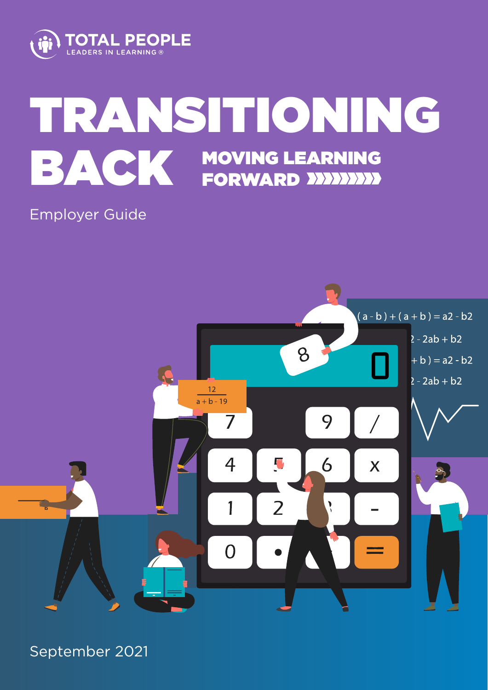

# TRANSITIONING BACK MOVING LEARNING FORWARD

# Employer Guide



September 2021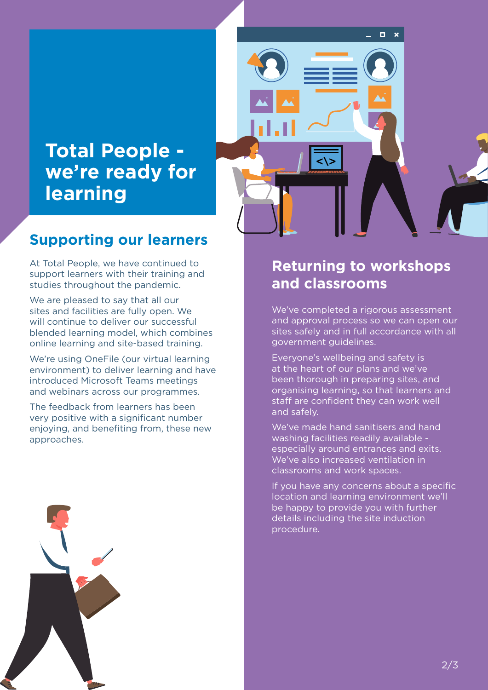# **Total People we're ready for learning**

#### **Supporting our learners**

At Total People, we have continued to support learners with their training and studies throughout the pandemic.

We are pleased to say that all our sites and facilities are fully open. We will continue to deliver our successful blended learning model, which combines online learning and site-based training.

We're using OneFile (our virtual learning environment) to deliver learning and have introduced Microsoft Teams meetings and webinars across our programmes.

The feedback from learners has been very positive with a significant number enjoying, and benefiting from, these new approaches.





#### **Returning to workshops and classrooms**

We've completed a rigorous assessment and approval process so we can open our sites safely and in full accordance with all government guidelines.

Everyone's wellbeing and safety is at the heart of our plans and we've been thorough in preparing sites, and organising learning, so that learners and staff are confident they can work well and safely.

We've made hand sanitisers and hand washing facilities readily available especially around entrances and exits. We've also increased ventilation in classrooms and work spaces.

If you have any concerns about a specific location and learning environment we'll be happy to provide you with further details including the site induction procedure.